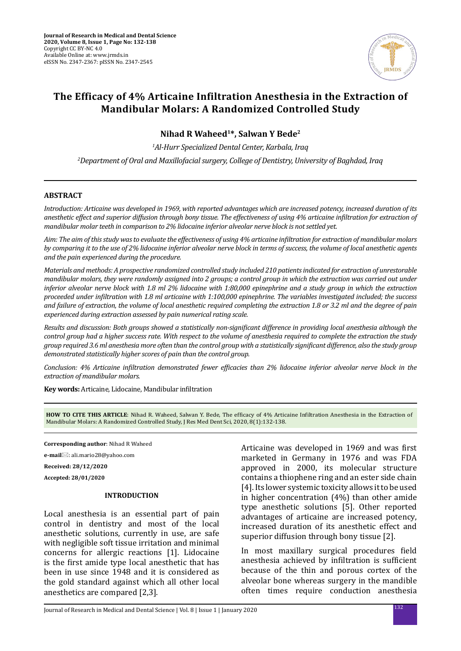

# **The Efficacy of 4% Articaine Infiltration Anesthesia in the Extraction of Mandibular Molars: A Randomized Controlled Study**

**Nihad R Waheed1\*, Salwan Y Bede2**

*1 Al-Hurr Specialized Dental Center, Karbala, Iraq*

*2 Department of Oral and Maxillofacial surgery, College of Dentistry, University of Baghdad, Iraq*

#### **ABSTRACT**

*Introduction: Articaine was developed in 1969, with reported advantages which are increased potency, increased duration of its anesthetic effect and superior diffusion through bony tissue. The effectiveness of using 4% articaine infiltration for extraction of mandibular molar teeth in comparison to 2% lidocaine inferior alveolar nerve block is not settled yet.*

*Aim: The aim of this study was to evaluate the effectiveness of using 4% articaine infiltration for extraction of mandibular molars by comparing it to the use of 2% lidocaine inferior alveolar nerve block in terms of success, the volume of local anesthetic agents and the pain experienced during the procedure.*

*Materials and methods: A prospective randomized controlled study included 210 patients indicated for extraction of unrestorable mandibular molars, they were randomly assigned into 2 groups; a control group in which the extraction was carried out under inferior alveolar nerve block with 1.8 ml 2% lidocaine with 1:80,000 epinephrine and a study group in which the extraction proceeded under infiltration with 1.8 ml articaine with 1:100,000 epinephrine. The variables investigated included; the success and failure of extraction, the volume of local anesthetic required completing the extraction 1.8 or 3.2 ml and the degree of pain experienced during extraction assessed by pain numerical rating scale.*

*Results and discussion: Both groups showed a statistically non-significant difference in providing local anesthesia although the control group had a higher success rate. With respect to the volume of anesthesia required to complete the extraction the study group required 3.6 ml anesthesia more often than the control group with a statistically significant difference, also the study group demonstrated statistically higher scores of pain than the control group.*

*Conclusion: 4% Articaine infiltration demonstrated fewer efficacies than 2% lidocaine inferior alveolar nerve block in the extraction of mandibular molars.*

**Key words:** Articaine, Lidocaine, Mandibular infiltration

**HOW TO CITE THIS ARTICLE**: Nihad R. Waheed, Salwan Y. Bede, The efficacy of 4% Articaine Infiltration Anesthesia in the Extraction of Mandibular Molars: A Randomized Controlled Study, J Res Med Dent Sci, 2020, 8(1):132-138.

**Corresponding author**: Nihad R Waheed

**e-mail**⊠: ali.mario28@yahoo.com

**Received: 28/12/2020**

**Accepted: 28/01/2020**

#### **INTRODUCTION**

Local anesthesia is an essential part of pain control in dentistry and most of the local anesthetic solutions, currently in use, are safe with negligible soft tissue irritation and minimal concerns for allergic reactions [1]. Lidocaine is the first amide type local anesthetic that has been in use since 1948 and it is considered as the gold standard against which all other local anesthetics are compared [2,3].

Articaine was developed in 1969 and was first marketed in Germany in 1976 and was FDA approved in 2000, its molecular structure contains a thiophene ring and an ester side chain [4]. Its lower systemic toxicity allows it to be used in higher concentration (4%) than other amide type anesthetic solutions [5]. Other reported advantages of articaine are increased potency, increased duration of its anesthetic effect and superior diffusion through bony tissue [2].

In most maxillary surgical procedures field anesthesia achieved by infiltration is sufficient because of the thin and porous cortex of the alveolar bone whereas surgery in the mandible often times require conduction anesthesia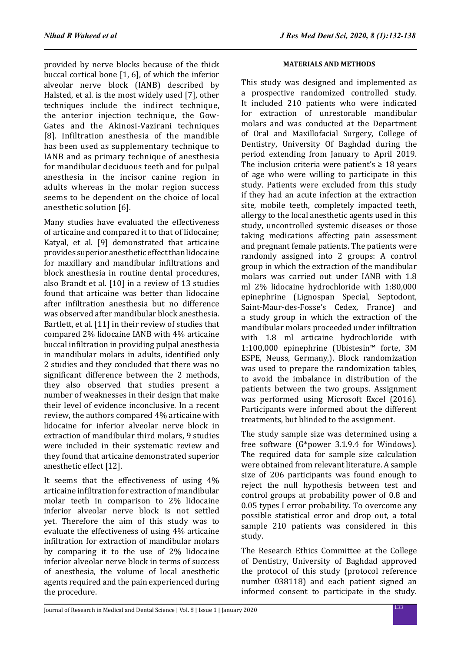provided by nerve blocks because of the thick buccal cortical bone [1, 6], of which the inferior alveolar nerve block (IANB) described by Halsted, et al. is the most widely used [7], other techniques include the indirect technique, the anterior injection technique, the Gow-Gates and the Akinosi-Vazirani techniques [8]. Infiltration anesthesia of the mandible has been used as supplementary technique to IANB and as primary technique of anesthesia for mandibular deciduous teeth and for pulpal anesthesia in the incisor canine region in adults whereas in the molar region success seems to be dependent on the choice of local anesthetic solution [6].

Many studies have evaluated the effectiveness of articaine and compared it to that of lidocaine; Katyal, et al. [9] demonstrated that articaine provides superior anesthetic effect than lidocaine for maxillary and mandibular infiltrations and block anesthesia in routine dental procedures, also Brandt et al. [10] in a review of 13 studies found that articaine was better than lidocaine after infiltration anesthesia but no difference was observed after mandibular block anesthesia. Bartlett, et al. [11] in their review of studies that compared 2% lidocaine IANB with 4% articaine buccal infiltration in providing pulpal anesthesia in mandibular molars in adults, identified only 2 studies and they concluded that there was no significant difference between the 2 methods, they also observed that studies present a number of weaknesses in their design that make their level of evidence inconclusive. In a recent review, the authors compared 4% articaine with lidocaine for inferior alveolar nerve block in extraction of mandibular third molars, 9 studies were included in their systematic review and they found that articaine demonstrated superior anesthetic effect [12].

It seems that the effectiveness of using 4% articaine infiltration for extraction of mandibular molar teeth in comparison to 2% lidocaine inferior alveolar nerve block is not settled yet. Therefore the aim of this study was to evaluate the effectiveness of using 4% articaine infiltration for extraction of mandibular molars by comparing it to the use of 2% lidocaine inferior alveolar nerve block in terms of success of anesthesia, the volume of local anesthetic agents required and the pain experienced during the procedure.

## **MATERIALS AND METHODS**

This study was designed and implemented as a prospective randomized controlled study. It included 210 patients who were indicated for extraction of unrestorable mandibular molars and was conducted at the Department of Oral and Maxillofacial Surgery, College of Dentistry, University Of Baghdad during the period extending from January to April 2019. The inclusion criteria were patient's  $\geq 18$  years of age who were willing to participate in this study. Patients were excluded from this study if they had an acute infection at the extraction site, mobile teeth, completely impacted teeth, allergy to the local anesthetic agents used in this study, uncontrolled systemic diseases or those taking medications affecting pain assessment and pregnant female patients. The patients were randomly assigned into 2 groups: A control group in which the extraction of the mandibular molars was carried out under IANB with 1.8 ml 2% lidocaine hydrochloride with 1:80,000 epinephrine (Lignospan Special, Septodont, Saint-Maur-des-Fosse's Cedex, France) and a study group in which the extraction of the mandibular molars proceeded under infiltration with 1.8 ml articaine hydrochloride with 1:100,000 epinephrine (Ubistesin™ forte, 3M ESPE, Neuss, Germany,). Block randomization was used to prepare the randomization tables, to avoid the imbalance in distribution of the patients between the two groups. Assignment was performed using Microsoft Excel (2016). Participants were informed about the different treatments, but blinded to the assignment.

The study sample size was determined using a free software (G\*power 3.1.9.4 for Windows). The required data for sample size calculation were obtained from relevant literature. A sample size of 206 participants was found enough to reject the null hypothesis between test and control groups at probability power of 0.8 and 0.05 types I error probability. To overcome any possible statistical error and drop out, a total sample 210 patients was considered in this study.

The Research Ethics Committee at the College of Dentistry, University of Baghdad approved the protocol of this study (protocol reference number 038118) and each patient signed an informed consent to participate in the study.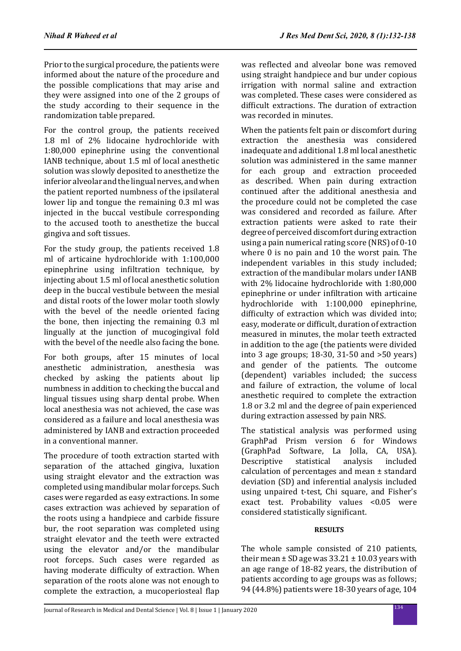Prior to the surgical procedure, the patients were informed about the nature of the procedure and the possible complications that may arise and they were assigned into one of the 2 groups of the study according to their sequence in the randomization table prepared.

For the control group, the patients received 1.8 ml of 2% lidocaine hydrochloride with 1:80,000 epinephrine using the conventional IANB technique, about 1.5 ml of local anesthetic solution was slowly deposited to anesthetize the inferior alveolar and the lingual nerves, and when the patient reported numbness of the ipsilateral lower lip and tongue the remaining 0.3 ml was injected in the buccal vestibule corresponding to the accused tooth to anesthetize the buccal gingiva and soft tissues.

For the study group, the patients received 1.8 ml of articaine hydrochloride with 1:100,000 epinephrine using infiltration technique, by injecting about 1.5 ml of local anesthetic solution deep in the buccal vestibule between the mesial and distal roots of the lower molar tooth slowly with the bevel of the needle oriented facing the bone, then injecting the remaining 0.3 ml lingually at the junction of mucogingival fold with the bevel of the needle also facing the bone.

For both groups, after 15 minutes of local anesthetic administration, anesthesia was checked by asking the patients about lip numbness in addition to checking the buccal and lingual tissues using sharp dental probe. When local anesthesia was not achieved, the case was considered as a failure and local anesthesia was administered by IANB and extraction proceeded in a conventional manner.

The procedure of tooth extraction started with separation of the attached gingiva, luxation using straight elevator and the extraction was completed using mandibular molar forceps. Such cases were regarded as easy extractions. In some cases extraction was achieved by separation of the roots using a handpiece and carbide fissure bur, the root separation was completed using straight elevator and the teeth were extracted using the elevator and/or the mandibular root forceps. Such cases were regarded as having moderate difficulty of extraction. When separation of the roots alone was not enough to complete the extraction, a mucoperiosteal flap was reflected and alveolar bone was removed using straight handpiece and bur under copious irrigation with normal saline and extraction was completed. These cases were considered as difficult extractions. The duration of extraction was recorded in minutes.

When the patients felt pain or discomfort during extraction the anesthesia was considered inadequate and additional 1.8 ml local anesthetic solution was administered in the same manner for each group and extraction proceeded as described. When pain during extraction continued after the additional anesthesia and the procedure could not be completed the case was considered and recorded as failure. After extraction patients were asked to rate their degree of perceived discomfort during extraction using a pain numerical rating score (NRS) of 0-10 where 0 is no pain and 10 the worst pain. The independent variables in this study included; extraction of the mandibular molars under IANB with 2% lidocaine hydrochloride with 1:80,000 epinephrine or under infiltration with articaine hydrochloride with 1:100,000 epinephrine, difficulty of extraction which was divided into; easy, moderate or difficult, duration of extraction measured in minutes, the molar teeth extracted in addition to the age (the patients were divided into 3 age groups; 18-30, 31-50 and >50 years) and gender of the patients. The outcome (dependent) variables included; the success and failure of extraction, the volume of local anesthetic required to complete the extraction 1.8 or 3.2 ml and the degree of pain experienced during extraction assessed by pain NRS.

The statistical analysis was performed using GraphPad Prism version 6 for Windows (GraphPad Software, La Jolla, CA, USA). Descriptive calculation of percentages and mean ± standard deviation (SD) and inferential analysis included using unpaired t-test, Chi square, and Fisher's exact test. Probability values <0.05 were considered statistically significant.

# **RESULTS**

The whole sample consisted of 210 patients, their mean  $\pm$  SD age was 33.21  $\pm$  10.03 years with an age range of 18-82 years, the distribution of patients according to age groups was as follows; 94 (44.8%) patients were 18-30 years of age, 104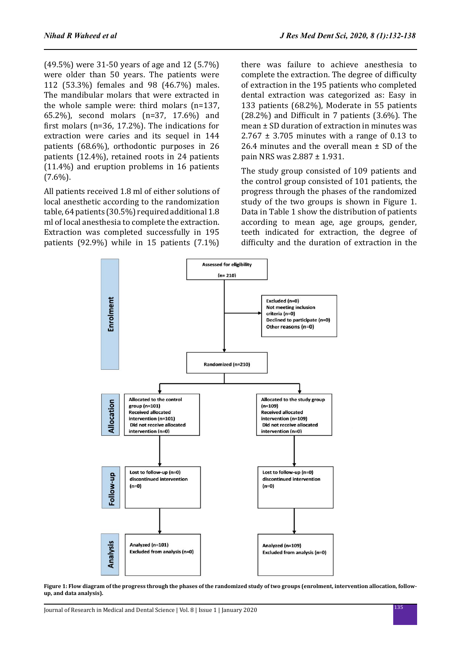(49.5%) were 31-50 years of age and 12 (5.7%) were older than 50 years. The patients were 112 (53.3%) females and 98 (46.7%) males. The mandibular molars that were extracted in the whole sample were: third molars (n=137, 65.2%), second molars (n=37, 17.6%) and first molars (n=36, 17.2%). The indications for extraction were caries and its sequel in 144 patients (68.6%), orthodontic purposes in 26 patients (12.4%), retained roots in 24 patients (11.4%) and eruption problems in 16 patients  $(7.6\%)$ .

All patients received 1.8 ml of either solutions of local anesthetic according to the randomization table, 64 patients (30.5%) required additional 1.8 ml of local anesthesia to complete the extraction. Extraction was completed successfully in 195 patients (92.9%) while in 15 patients (7.1%)

there was failure to achieve anesthesia to complete the extraction. The degree of difficulty of extraction in the 195 patients who completed dental extraction was categorized as: Easy in 133 patients (68.2%), Moderate in 55 patients (28.2%) and Difficult in 7 patients (3.6%). The mean ± SD duration of extraction in minutes was  $2.767 \pm 3.705$  minutes with a range of 0.13 to 26.4 minutes and the overall mean  $\pm$  SD of the pain NRS was 2.887 ± 1.931.

The study group consisted of 109 patients and the control group consisted of 101 patients, the progress through the phases of the randomized study of the two groups is shown in Figure 1. Data in Table 1 show the distribution of patients according to mean age, age groups, gender, teeth indicated for extraction, the degree of difficulty and the duration of extraction in the



**Figure 1: Flow diagram of the progress through the phases of the randomized study of two groups (enrolment, intervention allocation, followup, and data analysis).**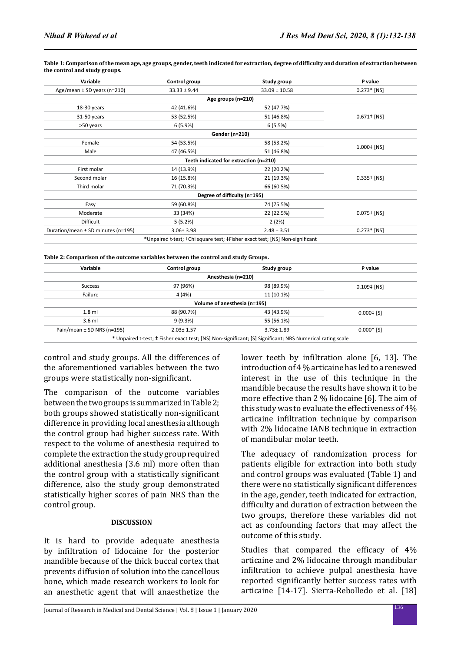| Variable                           | Control group    | Study group                                                                              | P value                   |
|------------------------------------|------------------|------------------------------------------------------------------------------------------|---------------------------|
| Age/mean $\pm$ SD years (n=210)    | $33.33 \pm 9.44$ | $33.09 \pm 10.58$                                                                        | $0.273*$ [NS]             |
|                                    |                  | Age groups (n=210)                                                                       |                           |
| 18-30 years                        | 42 (41.6%)       | 52 (47.7%)                                                                               |                           |
| 31-50 years                        | 53 (52.5%)       | 51 (46.8%)                                                                               | $0.671$ <sup>+</sup> [NS] |
| >50 years                          | 6(5.9%)          | 6(5.5%)                                                                                  |                           |
|                                    |                  | Gender (n=210)                                                                           |                           |
| Female                             | 54 (53.5%)       | 58 (53.2%)                                                                               |                           |
| Male                               | 47 (46.5%)       | 51 (46.8%)                                                                               | $1.000 \pm [NS]$          |
|                                    |                  | Teeth indicated for extraction (n=210)                                                   |                           |
| First molar                        | 14 (13.9%)       | 22 (20.2%)                                                                               |                           |
| Second molar                       | 16 (15.8%)       | 21 (19.3%)                                                                               | $0.335^{+}$ [NS]          |
| Third molar                        | 71 (70.3%)       | 66 (60.5%)                                                                               |                           |
|                                    |                  | Degree of difficulty (n=195)                                                             |                           |
| Easy                               | 59 (60.8%)       | 74 (75.5%)                                                                               |                           |
| Moderate                           | 33 (34%)         | 22 (22.5%)                                                                               | $0.075^{+}$ [NS]          |
| Difficult                          | 5(5.2%)          | 2(2%)                                                                                    |                           |
| Duration/mean ± SD minutes (n=195) | $3.06 \pm 3.98$  | $2.48 \pm 3.51$                                                                          | $0.273*$ [NS]             |
|                                    |                  | *Unpaired t-test; <sup>+</sup> Chi square test; ‡Fisher exact test; [NS] Non-significant |                           |

**Table 1: Comparison of the mean age, age groups, gender, teeth indicated for extraction, degree of difficulty and duration of extraction between the control and study groups.**

**Table 2: Comparison of the outcome variables between the control and study Groups.**

| Variable                       | Control group   | Study group                  | P value                 |
|--------------------------------|-----------------|------------------------------|-------------------------|
|                                |                 | Anesthesia (n=210)           |                         |
| <b>Success</b>                 | 97 (96%)        | 98 (89.9%)                   | $0.109$ $\uparrow$ [NS] |
| Failure                        | 4 (4%)          | 11 (10.1%)                   |                         |
|                                |                 | Volume of anesthesia (n=195) |                         |
| $1.8$ ml                       | 88 (90.7%)      | 43 (43.9%)                   | $0.000 \pm 5$           |
| $3.6$ ml                       | 9(9.3%)         | 55 (56.1%)                   |                         |
| Pain/mean $\pm$ SD NRS (n=195) | $2.03 \pm 1.57$ | $3.73 \pm 1.89$              | $0.000*$ [S]            |

\* Unpaired t-test; ‡ Fisher exact test; [NS] Non-significant; [S] Significant; NRS Numerical rating scale

control and study groups. All the differences of the aforementioned variables between the two groups were statistically non-significant.

The comparison of the outcome variables between the two groups is summarized in Table 2; both groups showed statistically non-significant difference in providing local anesthesia although the control group had higher success rate. With respect to the volume of anesthesia required to complete the extraction the study group required additional anesthesia (3.6 ml) more often than the control group with a statistically significant difference, also the study group demonstrated statistically higher scores of pain NRS than the control group.

#### **DISCUSSION**

It is hard to provide adequate anesthesia by infiltration of lidocaine for the posterior mandible because of the thick buccal cortex that prevents diffusion of solution into the cancellous bone, which made research workers to look for an anesthetic agent that will anaesthetize the

lower teeth by infiltration alone [6, 13]. The introduction of 4 % articaine has led to a renewed interest in the use of this technique in the mandible because the results have shown it to be more effective than 2 % lidocaine [6]. The aim of this study was to evaluate the effectiveness of 4% articaine infiltration technique by comparison with 2% lidocaine IANB technique in extraction of mandibular molar teeth.

The adequacy of randomization process for patients eligible for extraction into both study and control groups was evaluated (Table 1) and there were no statistically significant differences in the age, gender, teeth indicated for extraction, difficulty and duration of extraction between the two groups, therefore these variables did not act as confounding factors that may affect the outcome of this study.

Studies that compared the efficacy of 4% articaine and 2% lidocaine through mandibular infiltration to achieve pulpal anesthesia have reported significantly better success rates with articaine [14-17]. Sierra-Rebolledo et al. [18]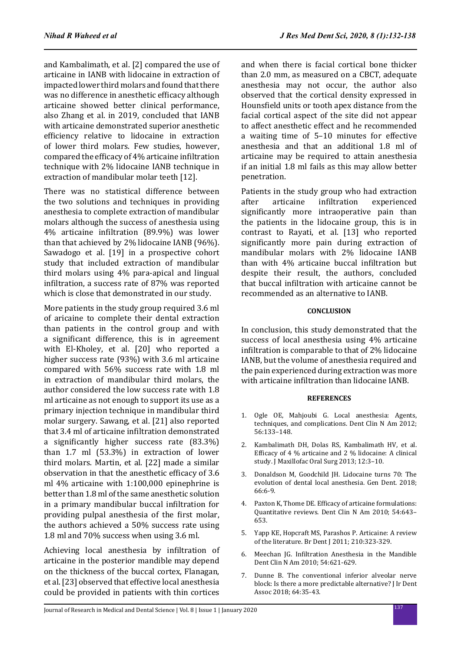and Kambalimath, et al. [2] compared the use of articaine in IANB with lidocaine in extraction of impacted lower third molars and found that there was no difference in anesthetic efficacy although articaine showed better clinical performance, also Zhang et al. in 2019, concluded that IANB with articaine demonstrated superior anesthetic efficiency relative to lidocaine in extraction of lower third molars. Few studies, however, compared the efficacy of 4% articaine infiltration technique with 2% lidocaine IANB technique in extraction of mandibular molar teeth [12].

There was no statistical difference between the two solutions and techniques in providing anesthesia to complete extraction of mandibular molars although the success of anesthesia using 4% articaine infiltration (89.9%) was lower than that achieved by 2% lidocaine IANB (96%). Sawadogo et al. [19] in a prospective cohort study that included extraction of mandibular third molars using 4% para-apical and lingual infiltration, a success rate of 87% was reported which is close that demonstrated in our study.

More patients in the study group required 3.6 ml of aricaine to complete their dental extraction than patients in the control group and with a significant difference, this is in agreement with El-Kholey, et al. [20] who reported a higher success rate (93%) with 3.6 ml articaine compared with 56% success rate with 1.8 ml in extraction of mandibular third molars, the author considered the low success rate with 1.8 ml articaine as not enough to support its use as a primary injection technique in mandibular third molar surgery. Sawang, et al. [21] also reported that 3.4 ml of articaine infiltration demonstrated a significantly higher success rate (83.3%) than 1.7 ml (53.3%) in extraction of lower third molars. Martin, et al. [22] made a similar observation in that the anesthetic efficacy of 3.6 ml 4% articaine with 1:100,000 epinephrine is better than 1.8 ml of the same anesthetic solution in a primary mandibular buccal infiltration for providing pulpal anesthesia of the first molar, the authors achieved a 50% success rate using 1.8 ml and 70% success when using 3.6 ml.

Achieving local anesthesia by infiltration of articaine in the posterior mandible may depend on the thickness of the buccal cortex, Flanagan, et al. [23] observed that effective local anesthesia could be provided in patients with thin cortices

and when there is facial cortical bone thicker than 2.0 mm, as measured on a CBCT, adequate anesthesia may not occur, the author also observed that the cortical density expressed in Hounsfield units or tooth apex distance from the facial cortical aspect of the site did not appear to affect anesthetic effect and he recommended a waiting time of 5–10 minutes for effective anesthesia and that an additional 1.8 ml of articaine may be required to attain anesthesia if an initial 1.8 ml fails as this may allow better penetration.

Patients in the study group who had extraction<br>after articaine infiltration experienced after articaine infiltration experienced significantly more intraoperative pain than the patients in the lidocaine group, this is in contrast to Rayati, et al. [13] who reported significantly more pain during extraction of mandibular molars with 2% lidocaine IANB than with 4% articaine buccal infiltration but despite their result, the authors, concluded that buccal infiltration with articaine cannot be recommended as an alternative to IANB.

## **CONCLUSION**

In conclusion, this study demonstrated that the success of local anesthesia using 4% articaine infiltration is comparable to that of 2% lidocaine IANB, but the volume of anesthesia required and the pain experienced during extraction was more with articaine infiltration than lidocaine IANB.

### **REFERENCES**

- 1. Ogle OE, Mahjoubi G. Local anesthesia: Agents, techniques, and complications. Dent Clin N Am 2012; 56:133–148.
- 2. Kambalimath DH, Dolas RS, Kambalimath HV, et al. Efficacy of 4 % articaine and 2 % lidocaine: A clinical study. J Maxillofac Oral Surg 2013; 12:3–10.
- 3. Donaldson M, Goodchild JH. Lidocaine turns 70: The evolution of dental local anesthesia. Gen Dent. 2018; 66:6-9.
- 4. Paxton K, Thome DE. Efficacy of articaine formulations: Quantitative reviews. Dent Clin N Am 2010; 54:643– 653.
- 5. Yapp KE, Hopcraft MS, Parashos P. Articaine: A review of the literature. Br Dent J 2011; 210:323-329.
- 6. Meechan JG. Infiltration Anesthesia in the Mandible Dent Clin N Am 2010; 54:621-629.
- 7. Dunne B. The conventional inferior alveolar nerve block: Is there a more predictable alternative? J Ir Dent Assoc 2018; 64:35-43.